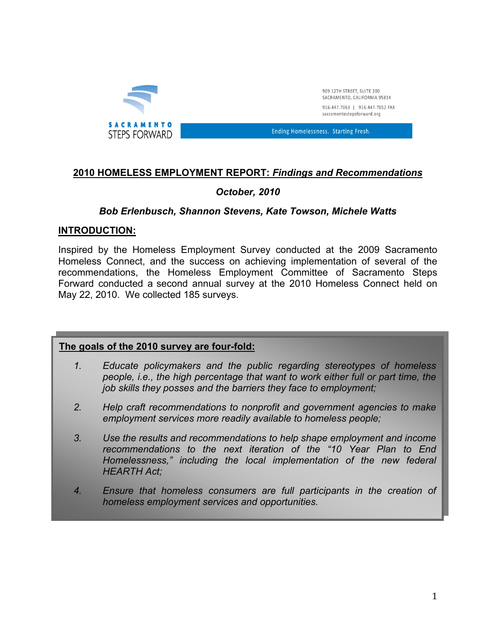

### **2010 HOMELESS EMPLOYMENT REPORT:** *Findings and Recommendations*

# *October, 2010*

### *Bob Erlenbusch, Shannon Stevens, Kate Towson, Michele Watts*

#### **INTRODUCTION:**

Inspired by the Homeless Employment Survey conducted at the 2009 Sacramento Homeless Connect, and the success on achieving implementation of several of the recommendations, the Homeless Employment Committee of Sacramento Steps Forward conducted a second annual survey at the 2010 Homeless Connect held on May 22, 2010. We collected 185 surveys.

#### **The goals of the 2010 survey are four-fold:**

- *1. Educate policymakers and the public regarding stereotypes of homeless people, i.e., the high percentage that want to work either full or part time, the job skills they posses and the barriers they face to employment;*
- *2. Help craft recommendations to nonprofit and government agencies to make employment services more readily available to homeless people;*
- *3. Use the results and recommendations to help shape employment and income recommendations to the next iteration of the "10 Year Plan to End Homelessness," including the local implementation of the new federal HEARTH Act;*
- *4. Ensure that homeless consumers are full participants in the creation of homeless employment services and opportunities.*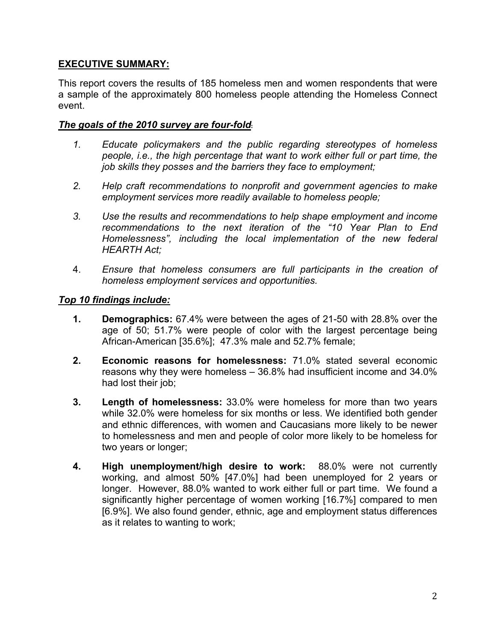# **EXECUTIVE SUMMARY:**

This report covers the results of 185 homeless men and women respondents that were a sample of the approximately 800 homeless people attending the Homeless Connect event.

### *The goals of the 2010 survey are four-fold***:**

- *1. Educate policymakers and the public regarding stereotypes of homeless people, i.e., the high percentage that want to work either full or part time, the job skills they posses and the barriers they face to employment;*
- *2. Help craft recommendations to nonprofit and government agencies to make employment services more readily available to homeless people;*
- *3. Use the results and recommendations to help shape employment and income recommendations to the next iteration of the "10 Year Plan to End Homelessness", including the local implementation of the new federal HEARTH Act;*
- 4. *Ensure that homeless consumers are full participants in the creation of homeless employment services and opportunities.*

### *Top 10 findings include:*

- **1. Demographics:** 67.4% were between the ages of 21-50 with 28.8% over the age of 50; 51.7% were people of color with the largest percentage being African-American [35.6%]; 47.3% male and 52.7% female;
- **2. Economic reasons for homelessness:** 71.0% stated several economic reasons why they were homeless – 36.8% had insufficient income and 34.0% had lost their job;
- **3. Length of homelessness:** 33.0% were homeless for more than two years while 32.0% were homeless for six months or less. We identified both gender and ethnic differences, with women and Caucasians more likely to be newer to homelessness and men and people of color more likely to be homeless for two years or longer;
- **4. High unemployment/high desire to work:** 88.0% were not currently working, and almost 50% [47.0%] had been unemployed for 2 years or longer. However, 88.0% wanted to work either full or part time. We found a significantly higher percentage of women working [16.7%] compared to men [6.9%]. We also found gender, ethnic, age and employment status differences as it relates to wanting to work;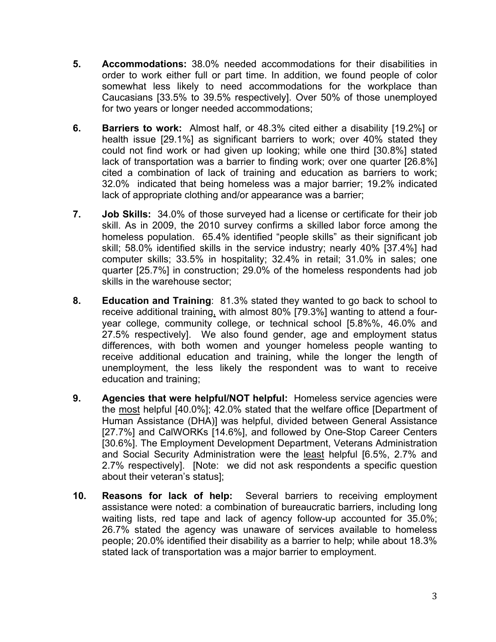- **5. Accommodations:** 38.0% needed accommodations for their disabilities in order to work either full or part time. In addition, we found people of color somewhat less likely to need accommodations for the workplace than Caucasians [33.5% to 39.5% respectively]. Over 50% of those unemployed for two years or longer needed accommodations;
- **6. Barriers to work:**Almost half, or 48.3% cited either a disability [19.2%] or health issue [29.1%] as significant barriers to work; over 40% stated they could not find work or had given up looking; while one third [30.8%] stated lack of transportation was a barrier to finding work; over one quarter [26.8%] cited a combination of lack of training and education as barriers to work; 32.0% indicated that being homeless was a major barrier; 19.2% indicated lack of appropriate clothing and/or appearance was a barrier;
- **7. Job Skills:**34.0% of those surveyed had a license or certificate for their job skill. As in 2009, the 2010 survey confirms a skilled labor force among the homeless population. 65.4% identified "people skills" as their significant job skill; 58.0% identified skills in the service industry; nearly 40% [37.4%] had computer skills; 33.5% in hospitality; 32.4% in retail; 31.0% in sales; one quarter [25.7%] in construction; 29.0% of the homeless respondents had job skills in the warehouse sector;
- **8. Education and Training**:81.3% stated they wanted to go back to school to receive additional training, with almost 80% [79.3%] wanting to attend a fouryear college, community college, or technical school [5.8%%, 46.0% and 27.5% respectively]. We also found gender, age and employment status differences, with both women and younger homeless people wanting to receive additional education and training, while the longer the length of unemployment, the less likely the respondent was to want to receive education and training;
- **9. Agencies that were helpful/NOT helpful:** Homeless service agencies were the most helpful [40.0%]; 42.0% stated that the welfare office [Department of Human Assistance (DHA)] was helpful, divided between General Assistance [27.7%] and CalWORKs [14.6%], and followed by One-Stop Career Centers [30.6%]. The Employment Development Department, Veterans Administration and Social Security Administration were the least helpful [6.5%, 2.7% and 2.7% respectively]. [Note: we did not ask respondents a specific question about their veteran's status];
- **10. Reasons for lack of help:**Several barriers to receiving employment assistance were noted: a combination of bureaucratic barriers, including long waiting lists, red tape and lack of agency follow-up accounted for 35.0%; 26.7% stated the agency was unaware of services available to homeless people; 20.0% identified their disability as a barrier to help; while about 18.3% stated lack of transportation was a major barrier to employment.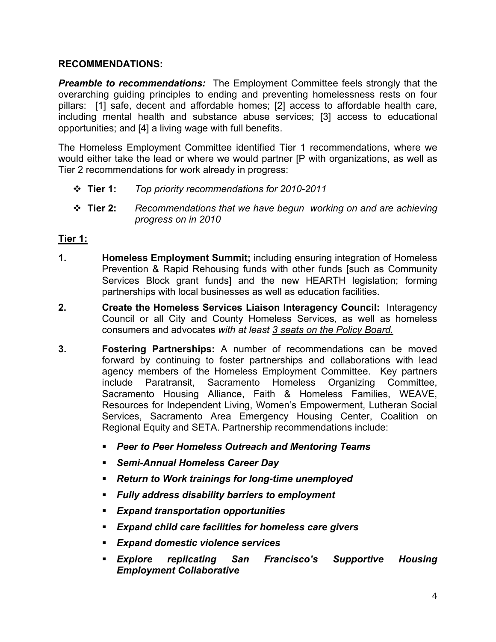### **RECOMMENDATIONS:**

*Preamble to recommendations:* The Employment Committee feels strongly that the overarching guiding principles to ending and preventing homelessness rests on four pillars: [1] safe, decent and affordable homes; [2] access to affordable health care, including mental health and substance abuse services; [3] access to educational opportunities; and [4] a living wage with full benefits.

The Homeless Employment Committee identified Tier 1 recommendations, where we would either take the lead or where we would partner [P with organizations, as well as Tier 2 recommendations for work already in progress:

- **Tier 1:** *Top priority recommendations for 2010-2011*
- **Tier 2:** *Recommendations that we have begun working on and are achieving progress on in 2010*

# **Tier 1:**

- **1. Homeless Employment Summit;** including ensuring integration of Homeless Prevention & Rapid Rehousing funds with other funds [such as Community Services Block grant funds] and the new HEARTH legislation; forming partnerships with local businesses as well as education facilities.
- **2. Create the Homeless Services Liaison Interagency Council:** Interagency Council or all City and County Homeless Services, as well as homeless consumers and advocates *with at least 3 seats on the Policy Board.*
- **3. Fostering Partnerships:** A number of recommendations can be moved forward by continuing to foster partnerships and collaborations with lead agency members of the Homeless Employment Committee. Key partners include Paratransit, Sacramento Homeless Organizing Committee, Sacramento Housing Alliance, Faith & Homeless Families, WEAVE, Resources for Independent Living, Women's Empowerment, Lutheran Social Services, Sacramento Area Emergency Housing Center, Coalition on Regional Equity and SETA. Partnership recommendations include:
	- *Peer to Peer Homeless Outreach and Mentoring Teams*
	- *Semi-Annual Homeless Career Day*
	- *Return to Work trainings for long-time unemployed*
	- *Fully address disability barriers to employment*
	- *Expand transportation opportunities*
	- *Expand child care facilities for homeless care givers*
	- *Expand domestic violence services*
	- *Explore replicating San Francisco's Supportive Housing Employment Collaborative*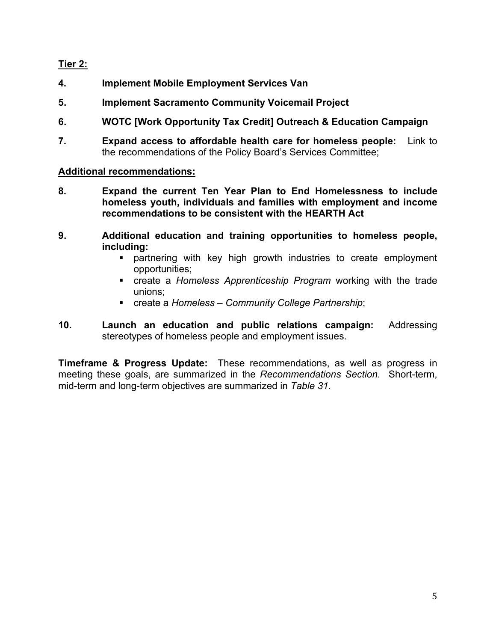# **Tier 2:**

- **4. Implement Mobile Employment Services Van**
- **5. Implement Sacramento Community Voicemail Project**
- **6. WOTC [Work Opportunity Tax Credit] Outreach & Education Campaign**
- **7. Expand access to affordable health care for homeless people:** Link to the recommendations of the Policy Board's Services Committee;

### **Additional recommendations:**

- **8. Expand the current Ten Year Plan to End Homelessness to include homeless youth, individuals and families with employment and income recommendations to be consistent with the HEARTH Act**
- **9. Additional education and training opportunities to homeless people, including:** 
	- partnering with key high growth industries to create employment opportunities;
	- create a *Homeless Apprenticeship Program* working with the trade unions;
	- create a *Homeless Community College Partnership*;
- **10. Launch an education and public relations campaign:** Addressing stereotypes of homeless people and employment issues.

**Timeframe & Progress Update:** These recommendations, as well as progress in meeting these goals, are summarized in the *Recommendations Section*. Short-term, mid-term and long-term objectives are summarized in *Table 31*.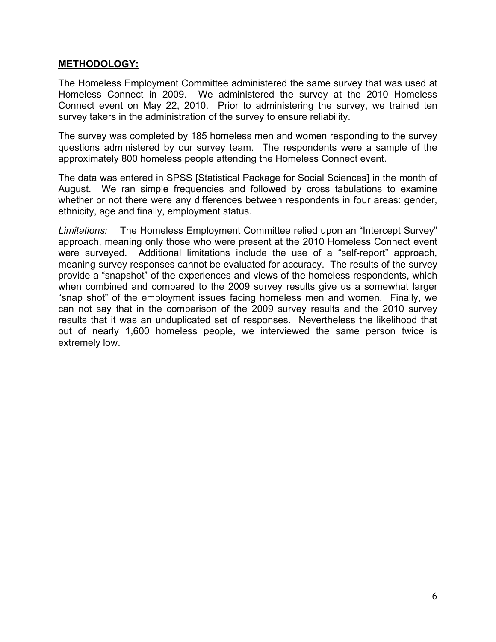### **METHODOLOGY:**

The Homeless Employment Committee administered the same survey that was used at Homeless Connect in 2009. We administered the survey at the 2010 Homeless Connect event on May 22, 2010. Prior to administering the survey, we trained ten survey takers in the administration of the survey to ensure reliability.

The survey was completed by 185 homeless men and women responding to the survey questions administered by our survey team. The respondents were a sample of the approximately 800 homeless people attending the Homeless Connect event.

The data was entered in SPSS [Statistical Package for Social Sciences] in the month of August. We ran simple frequencies and followed by cross tabulations to examine whether or not there were any differences between respondents in four areas: gender, ethnicity, age and finally, employment status.

*Limitations:* The Homeless Employment Committee relied upon an "Intercept Survey" approach, meaning only those who were present at the 2010 Homeless Connect event were surveyed. Additional limitations include the use of a "self-report" approach, meaning survey responses cannot be evaluated for accuracy. The results of the survey provide a "snapshot" of the experiences and views of the homeless respondents, which when combined and compared to the 2009 survey results give us a somewhat larger "snap shot" of the employment issues facing homeless men and women. Finally, we can not say that in the comparison of the 2009 survey results and the 2010 survey results that it was an unduplicated set of responses. Nevertheless the likelihood that out of nearly 1,600 homeless people, we interviewed the same person twice is extremely low.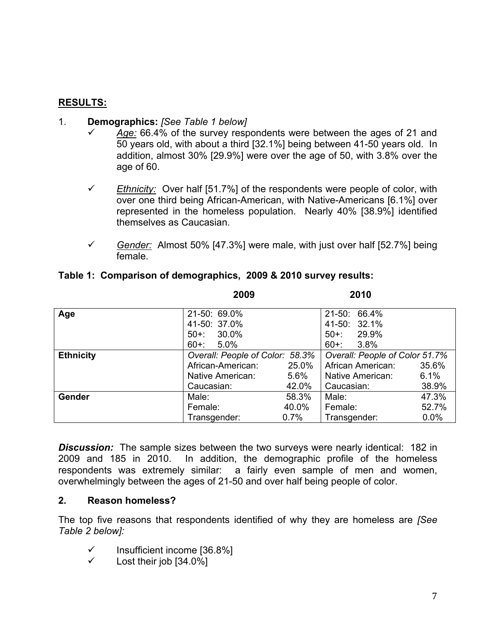### **RESULTS:**

#### 1. **Demographics:** *[See Table 1 below]*

- Age: 66.4% of the survey respondents were between the ages of 21 and 50 years old, with about a third [32.1%] being between 41-50 years old. In addition, almost 30% [29.9%] were over the age of 50, with 3.8% over the age of 60.
- $\checkmark$  Ethnicity: Over half [51.7%] of the respondents were people of color, with over one third being African-American, with Native-Americans [6.1%] over represented in the homeless population. Nearly 40% [38.9%] identified themselves as Caucasian.
- $\checkmark$  Gender: Almost 50% [47.3%] were male, with just over half [52.7%] being female.

|                  | 2009                            |         | 2010                           |         |
|------------------|---------------------------------|---------|--------------------------------|---------|
| Age              | 21-50: 69.0%                    |         | 21-50: 66.4%                   |         |
|                  | 41-50: 37.0%                    |         | 41-50: 32.1%                   |         |
|                  | $50+1$<br>30.0%                 |         | $50+$ :<br>29.9%               |         |
|                  | $60 +:$<br>5.0%                 |         | $60+$ :<br>$3.8\%$             |         |
| <b>Ethnicity</b> | Overall: People of Color: 58.3% |         | Overall: People of Color 51.7% |         |
|                  | African-American:               | 25.0%   | African American:              | 35.6%   |
|                  | Native American:                | $5.6\%$ | Native American:               | 6.1%    |
|                  | Caucasian:                      | 42.0%   | Caucasian:                     | 38.9%   |
| Gender           | Male:                           | 58.3%   | Male:                          | 47.3%   |
|                  | Female:                         | 40.0%   | Female:                        | 52.7%   |
|                  | Transgender:                    | 0.7%    | Transgender:                   | $0.0\%$ |

### **Table 1: Comparison of demographics, 2009 & 2010 survey results:**

*Discussion:* The sample sizes between the two surveys were nearly identical: 182 in 2009 and 185 in 2010. In addition, the demographic profile of the homeless respondents was extremely similar: a fairly even sample of men and women, overwhelmingly between the ages of 21-50 and over half being people of color.

### **2. Reason homeless?**

The top five reasons that respondents identified of why they are homeless are *[See Table 2 below]:*

- $\checkmark$  Insufficient income [36.8%]
- $\checkmark$  Lost their job [34.0%]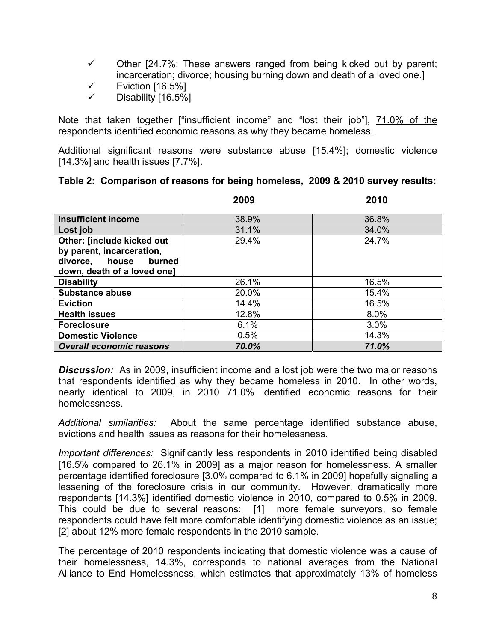- $\checkmark$  Other [24.7%: These answers ranged from being kicked out by parent; incarceration; divorce; housing burning down and death of a loved one.]
- $\checkmark$  Eviction [16.5%]
- $\checkmark$  Disability [16.5%]

Note that taken together ["insufficient income" and "lost their job"], 71.0% of the respondents identified economic reasons as why they became homeless.

Additional significant reasons were substance abuse [15.4%]; domestic violence [14.3%] and health issues [7.7%].

|                                 | 2009  | 2010  |
|---------------------------------|-------|-------|
| <b>Insufficient income</b>      | 38.9% | 36.8% |
| Lost job                        | 31.1% | 34.0% |
| Other: [include kicked out      | 29.4% | 24.7% |
| by parent, incarceration,       |       |       |
| divorce,<br>house<br>burned     |       |       |
| down, death of a loved one]     |       |       |
| <b>Disability</b>               | 26.1% | 16.5% |
| <b>Substance abuse</b>          | 20.0% | 15.4% |
| <b>Eviction</b>                 | 14.4% | 16.5% |
| <b>Health issues</b>            | 12.8% | 8.0%  |
| <b>Foreclosure</b>              | 6.1%  | 3.0%  |
| <b>Domestic Violence</b>        | 0.5%  | 14.3% |
| <b>Overall economic reasons</b> | 70.0% | 71.0% |

### **Table 2: Comparison of reasons for being homeless, 2009 & 2010 survey results:**

**Discussion:** As in 2009, insufficient income and a lost job were the two major reasons that respondents identified as why they became homeless in 2010. In other words, nearly identical to 2009, in 2010 71.0% identified economic reasons for their homelessness.

*Additional similarities:* About the same percentage identified substance abuse, evictions and health issues as reasons for their homelessness.

*Important differences:* Significantly less respondents in 2010 identified being disabled [16.5% compared to 26.1% in 2009] as a major reason for homelessness. A smaller percentage identified foreclosure [3.0% compared to 6.1% in 2009] hopefully signaling a lessening of the foreclosure crisis in our community. However, dramatically more respondents [14.3%] identified domestic violence in 2010, compared to 0.5% in 2009. This could be due to several reasons: [1] more female surveyors, so female respondents could have felt more comfortable identifying domestic violence as an issue; [2] about 12% more female respondents in the 2010 sample.

The percentage of 2010 respondents indicating that domestic violence was a cause of their homelessness, 14.3%, corresponds to national averages from the National Alliance to End Homelessness, which estimates that approximately 13% of homeless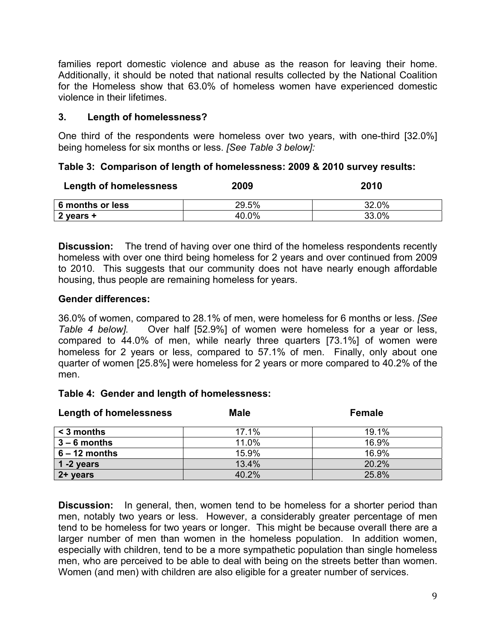families report domestic violence and abuse as the reason for leaving their home. Additionally, it should be noted that national results collected by the National Coalition for the Homeless show that 63.0% of homeless women have experienced domestic violence in their lifetimes.

# **3. Length of homelessness?**

One third of the respondents were homeless over two years, with one-third [32.0%] being homeless for six months or less. *[See Table 3 below]:*

### **Table 3: Comparison of length of homelessness: 2009 & 2010 survey results:**

| <b>Length of homelessness</b> | 2009  | 2010  |
|-------------------------------|-------|-------|
| 6 months or less              | 29.5% | 32.0% |
| 2 years +                     | 40.0% | 33.0% |

**Discussion:** The trend of having over one third of the homeless respondents recently homeless with over one third being homeless for 2 years and over continued from 2009 to 2010. This suggests that our community does not have nearly enough affordable housing, thus people are remaining homeless for years.

### **Gender differences:**

36.0% of women, compared to 28.1% of men, were homeless for 6 months or less. *[See Table 4 below].* Over half [52.9%] of women were homeless for a year or less, compared to 44.0% of men, while nearly three quarters [73.1%] of women were homeless for 2 years or less, compared to 57.1% of men. Finally, only about one quarter of women [25.8%] were homeless for 2 years or more compared to 40.2% of the men.

### **Table 4: Gender and length of homelessness:**

| <b>Length of homelessness</b> | <b>Male</b> | <b>Female</b> |
|-------------------------------|-------------|---------------|
| $<$ 3 months                  | 17.1%       | 19.1%         |
| $3 - 6$ months                | 11.0%       | 16.9%         |
| $6 - 12$ months               | 15.9%       | 16.9%         |
| 1 -2 years                    | 13.4%       | 20.2%         |
| 2+ years                      | 40.2%       | 25.8%         |

**Discussion:** In general, then, women tend to be homeless for a shorter period than men, notably two years or less. However, a considerably greater percentage of men tend to be homeless for two years or longer. This might be because overall there are a larger number of men than women in the homeless population. In addition women, especially with children, tend to be a more sympathetic population than single homeless men, who are perceived to be able to deal with being on the streets better than women. Women (and men) with children are also eligible for a greater number of services.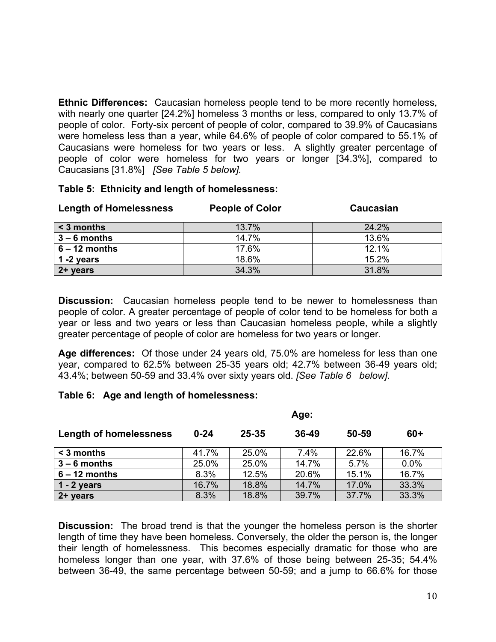**Ethnic Differences:** Caucasian homeless people tend to be more recently homeless, with nearly one quarter [24.2%] homeless 3 months or less, compared to only 13.7% of people of color. Forty-six percent of people of color, compared to 39.9% of Caucasians were homeless less than a year, while 64.6% of people of color compared to 55.1% of Caucasians were homeless for two years or less. A slightly greater percentage of people of color were homeless for two years or longer [34.3%], compared to Caucasians [31.8%] *[See Table 5 below].*

#### **Table 5: Ethnicity and length of homelessness:**

| <b>Length of Homelessness</b> | <b>People of Color</b> | Caucasian |
|-------------------------------|------------------------|-----------|
| $\leq$ 3 months               | 13.7%                  | 24.2%     |
| $3 - 6$ months                | 14.7%                  | 13.6%     |
| $6 - 12$ months               | 17.6%                  | 12.1%     |
| 1 -2 years                    | 18.6%                  | 15.2%     |
| 2+ years                      | 34.3%                  | 31.8%     |

**Discussion:** Caucasian homeless people tend to be newer to homelessness than people of color. A greater percentage of people of color tend to be homeless for both a year or less and two years or less than Caucasian homeless people, while a slightly greater percentage of people of color are homeless for two years or longer.

**Age differences:** Of those under 24 years old, 75.0% are homeless for less than one year, compared to 62.5% between 25-35 years old; 42.7% between 36-49 years old; 43.4%; between 50-59 and 33.4% over sixty years old. *[See Table 6 below].* 

### **Table 6: Age and length of homelessness:**

|                               | Age:     |           |       |       |       |
|-------------------------------|----------|-----------|-------|-------|-------|
| <b>Length of homelessness</b> | $0 - 24$ | $25 - 35$ | 36-49 | 50-59 | $60+$ |
| < 3 months                    | 41.7%    | 25.0%     | 7.4%  | 22.6% | 16.7% |
| $3 - 6$ months                | 25.0%    | 25.0%     | 14.7% | 5.7%  | 0.0%  |
| $6 - 12$ months               | 8.3%     | 12.5%     | 20.6% | 15.1% | 16.7% |
| 1 - 2 years                   | 16.7%    | 18.8%     | 14.7% | 17.0% | 33.3% |
| 2+ years                      | 8.3%     | 18.8%     | 39.7% | 37.7% | 33.3% |

**Discussion:** The broad trend is that the younger the homeless person is the shorter length of time they have been homeless. Conversely, the older the person is, the longer their length of homelessness. This becomes especially dramatic for those who are homeless longer than one year, with 37.6% of those being between 25-35; 54.4% between 36-49, the same percentage between 50-59; and a jump to 66.6% for those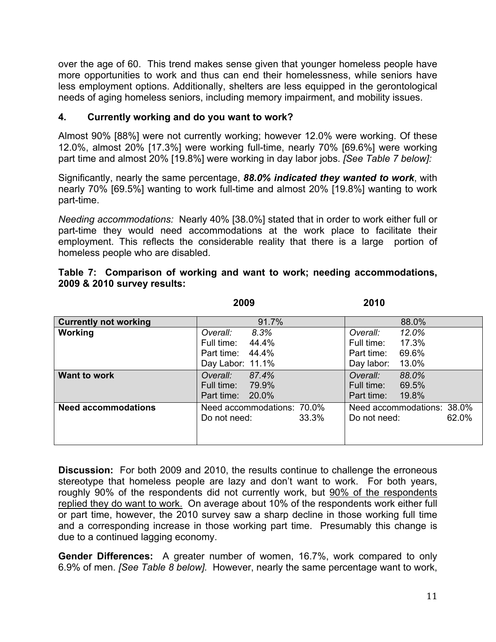over the age of 60. This trend makes sense given that younger homeless people have more opportunities to work and thus can end their homelessness, while seniors have less employment options. Additionally, shelters are less equipped in the gerontological needs of aging homeless seniors, including memory impairment, and mobility issues.

# **4. Currently working and do you want to work?**

Almost 90% [88%] were not currently working; however 12.0% were working. Of these 12.0%, almost 20% [17.3%] were working full-time, nearly 70% [69.6%] were working part time and almost 20% [19.8%] were working in day labor jobs. *[See Table 7 below]:*

Significantly, nearly the same percentage, *88.0% indicated they wanted to work*, with nearly 70% [69.5%] wanting to work full-time and almost 20% [19.8%] wanting to work part-time.

*Needing accommodations:* Nearly 40% [38.0%] stated that in order to work either full or part-time they would need accommodations at the work place to facilitate their employment. This reflects the considerable reality that there is a large portion of homeless people who are disabled.

|                              | 2009                       | 2010                       |
|------------------------------|----------------------------|----------------------------|
| <b>Currently not working</b> | 91.7%                      | 88.0%                      |
| <b>Working</b>               | 8.3%<br>Overall:           | 12.0%<br>Overall:          |
|                              | 44.4%<br>Full time:        | 17.3%<br>Full time:        |
|                              | 44.4%<br>Part time:        | 69.6%<br>Part time:        |
|                              | Day Labor: 11.1%           | Day labor:<br>13.0%        |
| <b>Want to work</b>          | 87.4%<br>Overall:          | 88.0%<br>Overall:          |
|                              | 79.9%<br>Full time:        | Full time:<br>69.5%        |
|                              | Part time:<br>20.0%        | Part time:<br>19.8%        |
| <b>Need accommodations</b>   | Need accommodations: 70.0% | Need accommodations: 38.0% |
|                              | 33.3%<br>Do not need:      | 62.0%<br>Do not need:      |
|                              |                            |                            |

|                             |  |  |  | Table 7: Comparison of working and want to work; needing accommodations, |  |
|-----------------------------|--|--|--|--------------------------------------------------------------------------|--|
| 2009 & 2010 survey results: |  |  |  |                                                                          |  |

**Discussion:** For both 2009 and 2010, the results continue to challenge the erroneous stereotype that homeless people are lazy and don't want to work. For both years, roughly 90% of the respondents did not currently work, but 90% of the respondents replied they do want to work. On average about 10% of the respondents work either full or part time, however, the 2010 survey saw a sharp decline in those working full time and a corresponding increase in those working part time. Presumably this change is due to a continued lagging economy.

**Gender Differences:** A greater number of women, 16.7%, work compared to only 6.9% of men. *[See Table 8 below].* However, nearly the same percentage want to work,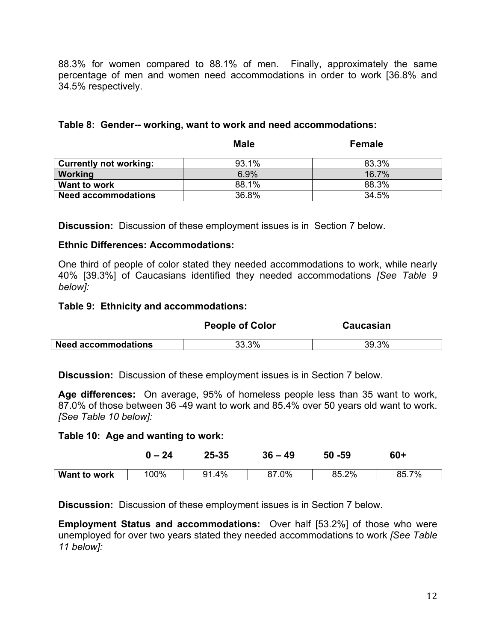88.3% for women compared to 88.1% of men. Finally, approximately the same percentage of men and women need accommodations in order to work [36.8% and 34.5% respectively.

|                               | <b>Male</b> | <b>Female</b> |
|-------------------------------|-------------|---------------|
| <b>Currently not working:</b> | 93.1%       | 83.3%         |
| Working                       | 6.9%        | 16.7%         |
| Want to work                  | 88.1%       | 88.3%         |
| <b>Need accommodations</b>    | 36.8%       | 34.5%         |

### **Table 8: Gender-- working, want to work and need accommodations:**

**Discussion:** Discussion of these employment issues is in Section 7 below.

### **Ethnic Differences: Accommodations:**

One third of people of color stated they needed accommodations to work, while nearly 40% [39.3%] of Caucasians identified they needed accommodations *[See Table 9 below]:* 

### **Table 9: Ethnicity and accommodations:**

|                            | <b>People of Color</b> | Caucasian |  |
|----------------------------|------------------------|-----------|--|
| <b>Need accommodations</b> | 33.3%                  | 39.3%     |  |

**Discussion:** Discussion of these employment issues is in Section 7 below.

**Age differences:** On average, 95% of homeless people less than 35 want to work, 87.0% of those between 36 -49 want to work and 85.4% over 50 years old want to work. *[See Table 10 below]:* 

#### **Table 10: Age and wanting to work:**

|              | $0 - 24$ | $25 - 35$ | $36 - 49$ | $50 - 59$ | $60+$ |
|--------------|----------|-----------|-----------|-----------|-------|
| Want to work | 100%     | 91.4%     | 87.0%     | 85.2%     | 85.7% |

**Discussion:** Discussion of these employment issues is in Section 7 below.

**Employment Status and accommodations:** Over half [53.2%] of those who were unemployed for over two years stated they needed accommodations to work *[See Table 11 below]:*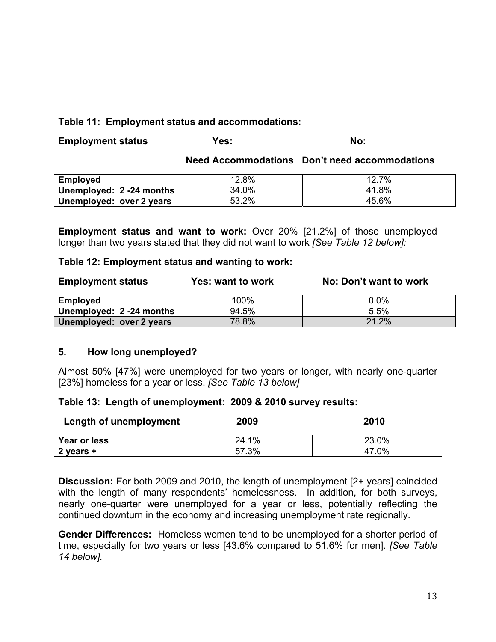### **Table 11: Employment status and accommodations:**

| <b>Employment status</b> | Yes: | No: |
|--------------------------|------|-----|
|                          |      |     |

#### **Need Accommodations Don't need accommodations**

| <b>Employed</b>          | 12.8% | 12.7% |
|--------------------------|-------|-------|
| Unemployed: 2 -24 months | 34.0% | 41.8% |
| Unemployed: over 2 years | 53.2% | 45.6% |

**Employment status and want to work:** Over 20% [21.2%] of those unemployed longer than two years stated that they did not want to work *[See Table 12 below]:* 

#### **Table 12: Employment status and wanting to work:**

| <b>Employment status</b> | Yes: want to work | No: Don't want to work |
|--------------------------|-------------------|------------------------|
| <b>Employed</b>          | 100%              | 0.0%                   |
| Unemployed: 2 -24 months | 94.5%             | 5.5%                   |
| Unemployed: over 2 years | 78.8%             | 21.2%                  |

### **5. How long unemployed?**

Almost 50% [47%] were unemployed for two years or longer, with nearly one-quarter [23%] homeless for a year or less. *[See Table 13 below]*

### **Table 13: Length of unemployment: 2009 & 2010 survey results:**

| Length of unemployment | 2009  | 2010  |
|------------------------|-------|-------|
| Year or less           | 24.1% | 23.0% |
| 2 years +              | 57.3% | 47.0% |

**Discussion:** For both 2009 and 2010, the length of unemployment [2+ years] coincided with the length of many respondents' homelessness. In addition, for both surveys, nearly one-quarter were unemployed for a year or less, potentially reflecting the continued downturn in the economy and increasing unemployment rate regionally.

**Gender Differences:** Homeless women tend to be unemployed for a shorter period of time, especially for two years or less [43.6% compared to 51.6% for men]. *[See Table 14 below].*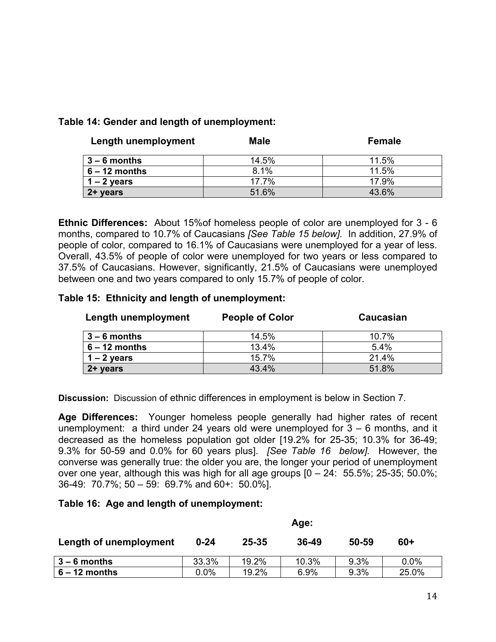### **Table 14: Gender and length of unemployment:**

| Length unemployment | <b>Male</b> | <b>Female</b> |
|---------------------|-------------|---------------|
| $3 - 6$ months      | 14.5%       | 11.5%         |
| $6 - 12$ months     | 8.1%        | 11.5%         |
| $1 - 2$ years       | 17.7%       | 17.9%         |
| 2+ years            | 51.6%       | 43.6%         |

**Ethnic Differences:** About 15%of homeless people of color are unemployed for 3 - 6 months, compared to 10.7% of Caucasians *[See Table 15 below].* In addition, 27.9% of people of color, compared to 16.1% of Caucasians were unemployed for a year of less. Overall, 43.5% of people of color were unemployed for two years or less compared to 37.5% of Caucasians. However, significantly, 21.5% of Caucasians were unemployed between one and two years compared to only 15.7% of people of color.

### **Table 15: Ethnicity and length of unemployment:**

| Length unemployment | <b>People of Color</b> | Caucasian |
|---------------------|------------------------|-----------|
| $3 - 6$ months      | 14.5%                  | 10.7%     |
| $6 - 12$ months     | 13.4%                  | $5.4\%$   |
| $1 - 2$ years       | 15.7%                  | 21.4%     |
| 2+ years            | 43.4%                  | 51.8%     |

**Discussion:** Discussion of ethnic differences in employment is below in Section 7.

**Age Differences:** Younger homeless people generally had higher rates of recent unemployment: a third under 24 years old were unemployed for 3 – 6 months, and it decreased as the homeless population got older [19.2% for 25-35; 10.3% for 36-49; 9.3% for 50-59 and 0.0% for 60 years plus]. *[See Table 16 below].* However, the converse was generally true: the older you are, the longer your period of unemployment over one year, although this was high for all age groups  $[0 - 24: 55.5\%; 25-35; 50.0\%;$ 36-49: 70.7%; 50 – 59: 69.7% and 60+: 50.0%].

### **Table 16: Age and length of unemployment:**

|                        | Age:     |           |       |       |         |
|------------------------|----------|-----------|-------|-------|---------|
| Length of unemployment | $0 - 24$ | $25 - 35$ | 36-49 | 50-59 | 60+     |
| $3 - 6$ months         | 33.3%    | 19.2%     | 10.3% | 9.3%  | $0.0\%$ |
| $6 - 12$ months        | 0.0%     | 19.2%     | 6.9%  | 9.3%  | 25.0%   |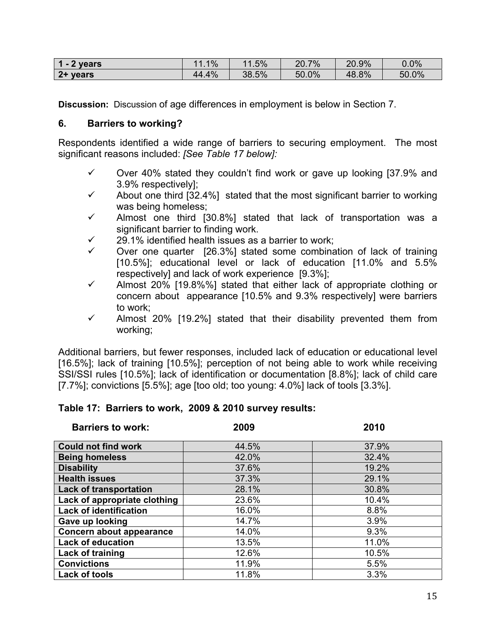| vears    | $.1\%$ | 1.5%  | 7%<br>20.7 | 20.9% | $0.0\%$ |
|----------|--------|-------|------------|-------|---------|
| 2+ years | 44.4%  | 38.5% | 50.0%      | 48.8% | 50.0%   |

**Discussion:** Discussion of age differences in employment is below in Section 7.

### **6. Barriers to working?**

Respondents identified a wide range of barriers to securing employment. The most significant reasons included: *[See Table 17 below]:*

- $\checkmark$  Over 40% stated they couldn't find work or gave up looking [37.9% and 3.9% respectively];
- $\checkmark$  About one third [32.4%] stated that the most significant barrier to working was being homeless;
- $\checkmark$  Almost one third [30.8%] stated that lack of transportation was a significant barrier to finding work.
- 9 29.1% identified health issues as a barrier to work;
- Over one quarter [26.3%] stated some combination of lack of training [10.5%]; educational level or lack of education [11.0% and 5.5% respectively] and lack of work experience [9.3%];
- $\checkmark$  Almost 20% [19.8%%] stated that either lack of appropriate clothing or concern about appearance [10.5% and 9.3% respectively] were barriers to work;
- $\checkmark$  Almost 20% [19.2%] stated that their disability prevented them from working;

Additional barriers, but fewer responses, included lack of education or educational level [16.5%]; lack of training [10.5%]; perception of not being able to work while receiving SSI/SSI rules [10.5%]; lack of identification or documentation [8.8%]; lack of child care [7.7%]; convictions [5.5%]; age [too old; too young: 4.0%] lack of tools [3.3%].

# **Table 17: Barriers to work, 2009 & 2010 survey results:**

| <b>Barriers to work:</b>      | 2009  | 2010  |
|-------------------------------|-------|-------|
|                               |       |       |
| <b>Could not find work</b>    | 44.5% | 37.9% |
| <b>Being homeless</b>         | 42.0% | 32.4% |
| <b>Disability</b>             | 37.6% | 19.2% |
| <b>Health issues</b>          | 37.3% | 29.1% |
| <b>Lack of transportation</b> | 28.1% | 30.8% |
| Lack of appropriate clothing  | 23.6% | 10.4% |
| <b>Lack of identification</b> | 16.0% | 8.8%  |
| Gave up looking               | 14.7% | 3.9%  |
| Concern about appearance      | 14.0% | 9.3%  |
| <b>Lack of education</b>      | 13.5% | 11.0% |
| Lack of training              | 12.6% | 10.5% |
| <b>Convictions</b>            | 11.9% | 5.5%  |
| <b>Lack of tools</b>          | 11.8% | 3.3%  |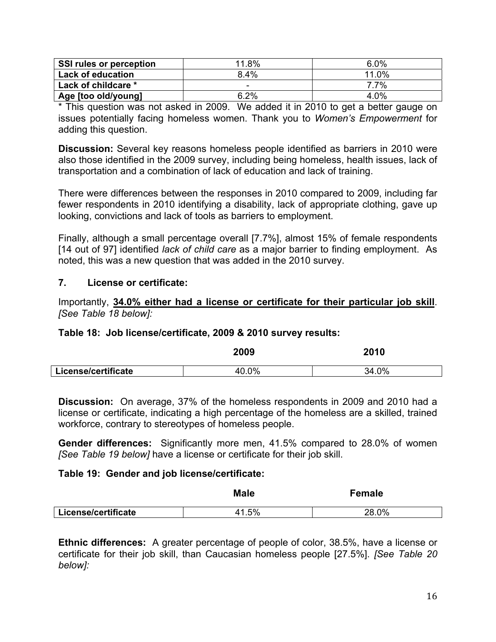| SSI rules or perception  | 11.8%   | $6.0\%$    |
|--------------------------|---------|------------|
| <b>Lack of education</b> | $8.4\%$ | 11.0%      |
| Lack of childcare *      | -       | <b>77%</b> |
| Age [too old/young]      | 6.2%    | 4.0%       |

\* This question was not asked in 2009. We added it in 2010 to get a better gauge on issues potentially facing homeless women. Thank you to *Women's Empowerment* for adding this question.

**Discussion:** Several key reasons homeless people identified as barriers in 2010 were also those identified in the 2009 survey, including being homeless, health issues, lack of transportation and a combination of lack of education and lack of training.

There were differences between the responses in 2010 compared to 2009, including far fewer respondents in 2010 identifying a disability, lack of appropriate clothing, gave up looking, convictions and lack of tools as barriers to employment.

Finally, although a small percentage overall [7.7%], almost 15% of female respondents [14 out of 97] identified *lack of child care* as a major barrier to finding employment. As noted, this was a new question that was added in the 2010 survey.

### **7. License or certificate:**

Importantly, **34.0% either had a license or certificate for their particular job skill**. *[See Table 18 below]:*

### **Table 18: Job license/certificate, 2009 & 2010 survey results:**

|                     | 2009  | 2010  |
|---------------------|-------|-------|
| License/certificate | 40.0% | 34.0% |

**Discussion:** On average, 37% of the homeless respondents in 2009 and 2010 had a license or certificate, indicating a high percentage of the homeless are a skilled, trained workforce, contrary to stereotypes of homeless people.

**Gender differences:** Significantly more men, 41.5% compared to 28.0% of women *[See Table 19 below]* have a license or certificate for their job skill.

### **Table 19: Gender and job license/certificate:**

|                     | Male  | <b>Female</b> |  |
|---------------------|-------|---------------|--|
| License/certificate | 41.5% | 28.0%         |  |

**Ethnic differences:** A greater percentage of people of color, 38.5%, have a license or certificate for their job skill, than Caucasian homeless people [27.5%]. *[See Table 20 below]:*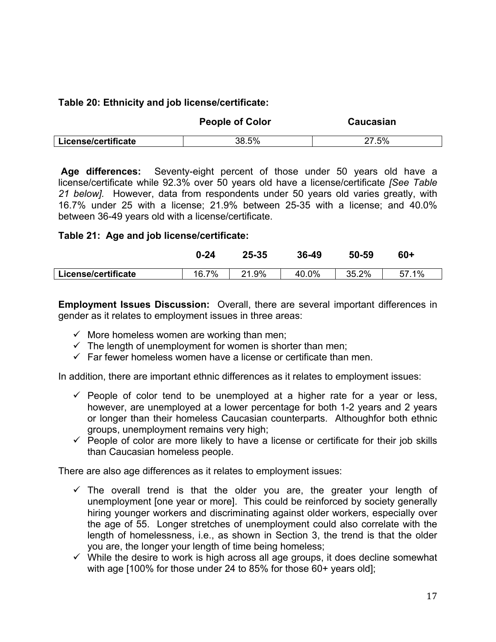### **Table 20: Ethnicity and job license/certificate:**

|                     | <b>People of Color</b> | Caucasian |
|---------------------|------------------------|-----------|
| License/certificate | 38.5%                  | 27.5%     |

 **Age differences:** Seventy-eight percent of those under 50 years old have a license/certificate while 92.3% over 50 years old have a license/certificate *[See Table 21 below].* However, data from respondents under 50 years old varies greatly, with 16.7% under 25 with a license; 21.9% between 25-35 with a license; and 40.0% between 36-49 years old with a license/certificate.

### **Table 21: Age and job license/certificate:**

|                     | $0 - 24$ | 25-35       | 36-49 | 50-59 | $60+$ |
|---------------------|----------|-------------|-------|-------|-------|
| License/certificate | 16.7%    | .9%<br>ິດ 4 | 40.0% | 35.2% | 57.1% |

**Employment Issues Discussion:** Overall, there are several important differences in gender as it relates to employment issues in three areas:

- $\checkmark$  More homeless women are working than men;
- $\checkmark$  The length of unemployment for women is shorter than men;
- $\checkmark$  Far fewer homeless women have a license or certificate than men.

In addition, there are important ethnic differences as it relates to employment issues:

- $\checkmark$  People of color tend to be unemployed at a higher rate for a year or less, however, are unemployed at a lower percentage for both 1-2 years and 2 years or longer than their homeless Caucasian counterparts. Althoughfor both ethnic groups, unemployment remains very high;
- $\checkmark$  People of color are more likely to have a license or certificate for their job skills than Caucasian homeless people.

There are also age differences as it relates to employment issues:

- $\checkmark$  The overall trend is that the older you are, the greater your length of unemployment [one year or more]. This could be reinforced by society generally hiring younger workers and discriminating against older workers, especially over the age of 55. Longer stretches of unemployment could also correlate with the length of homelessness, i.e., as shown in Section 3, the trend is that the older you are, the longer your length of time being homeless;
- $\checkmark$  While the desire to work is high across all age groups, it does decline somewhat with age [100% for those under 24 to 85% for those 60+ years old];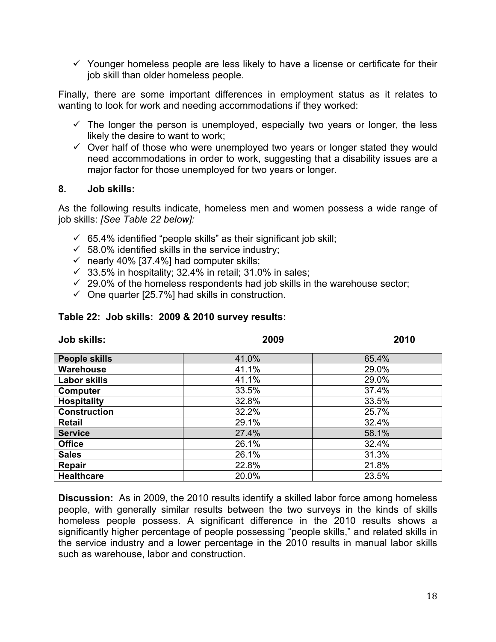$\checkmark$  Younger homeless people are less likely to have a license or certificate for their job skill than older homeless people.

Finally, there are some important differences in employment status as it relates to wanting to look for work and needing accommodations if they worked:

- $\checkmark$  The longer the person is unemployed, especially two years or longer, the less likely the desire to want to work;
- $\checkmark$  Over half of those who were unemployed two years or longer stated they would need accommodations in order to work, suggesting that a disability issues are a major factor for those unemployed for two years or longer.

#### **8. Job skills:**

As the following results indicate, homeless men and women possess a wide range of job skills: *[See Table 22 below]:*

- $65.4\%$  identified "people skills" as their significant job skill;
- $\checkmark$  58.0% identified skills in the service industry;
- $\checkmark$  nearly 40% [37.4%] had computer skills;
- $\checkmark$  33.5% in hospitality; 32.4% in retail; 31.0% in sales;
- $\sim$  29.0% of the homeless respondents had job skills in the warehouse sector;
- $\checkmark$  One quarter [25.7%] had skills in construction.

#### **Table 22: Job skills: 2009 & 2010 survey results:**

| <b>Job skills:</b>   | 2009  | 2010  |
|----------------------|-------|-------|
| <b>People skills</b> | 41.0% | 65.4% |
| <b>Warehouse</b>     | 41.1% | 29.0% |
| <b>Labor skills</b>  | 41.1% | 29.0% |
| Computer             | 33.5% | 37.4% |
| <b>Hospitality</b>   | 32.8% | 33.5% |
| <b>Construction</b>  | 32.2% | 25.7% |
| <b>Retail</b>        | 29.1% | 32.4% |
| <b>Service</b>       | 27.4% | 58.1% |
| <b>Office</b>        | 26.1% | 32.4% |
| <b>Sales</b>         | 26.1% | 31.3% |
| Repair               | 22.8% | 21.8% |
| <b>Healthcare</b>    | 20.0% | 23.5% |

**Discussion:** As in 2009, the 2010 results identify a skilled labor force among homeless people, with generally similar results between the two surveys in the kinds of skills homeless people possess. A significant difference in the 2010 results shows a significantly higher percentage of people possessing "people skills," and related skills in the service industry and a lower percentage in the 2010 results in manual labor skills such as warehouse, labor and construction.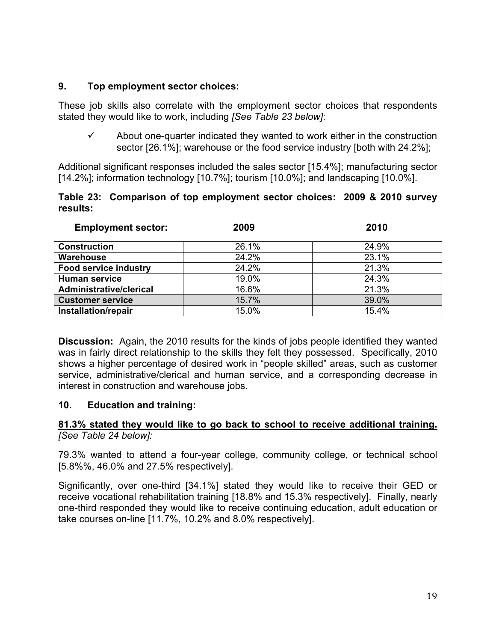### **9. Top employment sector choices:**

These job skills also correlate with the employment sector choices that respondents stated they would like to work, including *[See Table 23 below]*:

About one-quarter indicated they wanted to work either in the construction sector [26.1%]; warehouse or the food service industry [both with 24.2%];

Additional significant responses included the sales sector [15.4%]; manufacturing sector [14.2%]; information technology [10.7%]; tourism [10.0%]; and landscaping [10.0%].

### **Table 23: Comparison of top employment sector choices: 2009 & 2010 survey results:**

| <b>Employment sector:</b>    | 2009  | 2010  |
|------------------------------|-------|-------|
| <b>Construction</b>          | 26.1% | 24.9% |
| Warehouse                    | 24.2% | 23.1% |
| <b>Food service industry</b> | 24.2% | 21.3% |
| <b>Human service</b>         | 19.0% | 24.3% |
| Administrative/clerical      | 16.6% | 21.3% |
| <b>Customer service</b>      | 15.7% | 39.0% |
| Installation/repair          | 15.0% | 15.4% |

**Discussion:** Again, the 2010 results for the kinds of jobs people identified they wanted was in fairly direct relationship to the skills they felt they possessed. Specifically, 2010 shows a higher percentage of desired work in "people skilled" areas, such as customer service, administrative/clerical and human service, and a corresponding decrease in interest in construction and warehouse jobs.

# **10. Education and training:**

### **81.3% stated they would like to go back to school to receive additional training.** *[See Table 24 below]:*

79.3% wanted to attend a four-year college, community college, or technical school [5.8%%, 46.0% and 27.5% respectively].

Significantly, over one-third [34.1%] stated they would like to receive their GED or receive vocational rehabilitation training [18.8% and 15.3% respectively]. Finally, nearly one-third responded they would like to receive continuing education, adult education or take courses on-line [11.7%, 10.2% and 8.0% respectively].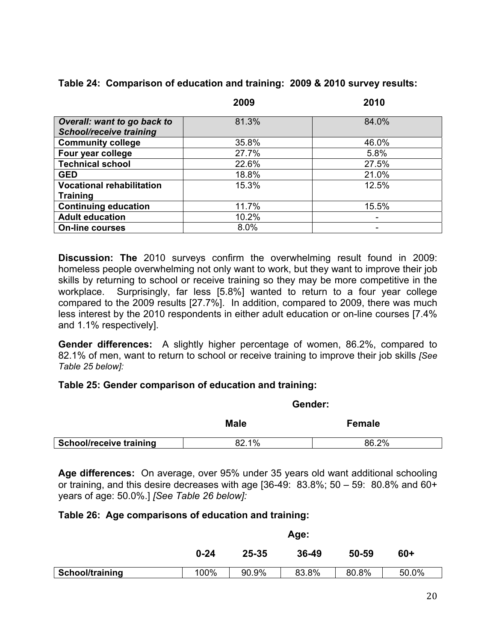|  |  | Table 24: Comparison of education and training: 2009 & 2010 survey results: |  |  |  |  |
|--|--|-----------------------------------------------------------------------------|--|--|--|--|
|--|--|-----------------------------------------------------------------------------|--|--|--|--|

|                                  | 2009  | 2010  |
|----------------------------------|-------|-------|
| Overall: want to go back to      | 81.3% | 84.0% |
| <b>School/receive training</b>   |       |       |
| <b>Community college</b>         | 35.8% | 46.0% |
| Four year college                | 27.7% | 5.8%  |
| <b>Technical school</b>          | 22.6% | 27.5% |
| <b>GED</b>                       | 18.8% | 21.0% |
| <b>Vocational rehabilitation</b> | 15.3% | 12.5% |
| <b>Training</b>                  |       |       |
| <b>Continuing education</b>      | 11.7% | 15.5% |
| <b>Adult education</b>           | 10.2% | ۰     |
| <b>On-line courses</b>           | 8.0%  | -     |

**Discussion: The** 2010 surveys confirm the overwhelming result found in 2009: homeless people overwhelming not only want to work, but they want to improve their job skills by returning to school or receive training so they may be more competitive in the workplace. Surprisingly, far less [5.8%] wanted to return to a four year college compared to the 2009 results [27.7%]. In addition, compared to 2009, there was much less interest by the 2010 respondents in either adult education or on-line courses [7.4% and 1.1% respectively].

**Gender differences:** A slightly higher percentage of women, 86.2%, compared to 82.1% of men, want to return to school or receive training to improve their job skills *[See Table 25 below]:* 

# **Table 25: Gender comparison of education and training:**

|                                | <b>Male</b> | Female |  |
|--------------------------------|-------------|--------|--|
| <b>School/receive training</b> | 82.1%       | 86.2%  |  |

 **Gender:** 

**Age differences:** On average, over 95% under 35 years old want additional schooling or training, and this desire decreases with age  $[36-49: 83.8\%; 50-59: 80.8\%$  and  $60+$ years of age: 50.0%.] *[See Table 26 below]:* 

### **Table 26: Age comparisons of education and training:**

|                 | Age:     |       |       |       |       |
|-----------------|----------|-------|-------|-------|-------|
|                 | $0 - 24$ | 25-35 | 36-49 | 50-59 | $60+$ |
| School/training | 100%     | 90.9% | 83.8% | 80.8% | 50.0% |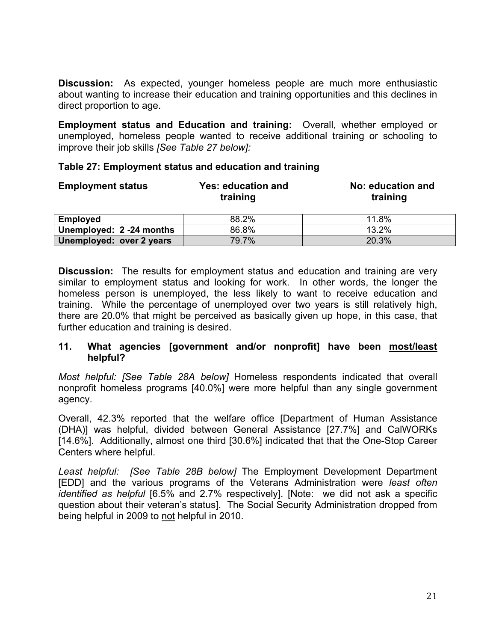**Discussion:** As expected, younger homeless people are much more enthusiastic about wanting to increase their education and training opportunities and this declines in direct proportion to age.

**Employment status and Education and training:** Overall, whether employed or unemployed, homeless people wanted to receive additional training or schooling to improve their job skills *[See Table 27 below]:* 

| <b>Employment status</b> | Yes: education and<br>training | No: education and<br>training |
|--------------------------|--------------------------------|-------------------------------|
| <b>Employed</b>          | 88.2%                          | 11.8%                         |
| Unemployed: 2 -24 months | 86.8%                          | 13.2%                         |
| Unemployed: over 2 years | 79.7%                          | 20.3%                         |

### **Table 27: Employment status and education and training**

**Discussion:** The results for employment status and education and training are very similar to employment status and looking for work. In other words, the longer the homeless person is unemployed, the less likely to want to receive education and training. While the percentage of unemployed over two years is still relatively high, there are 20.0% that might be perceived as basically given up hope, in this case, that further education and training is desired.

### **11. What agencies [government and/or nonprofit] have been most/least helpful?**

*Most helpful: [See Table 28A below]* Homeless respondents indicated that overall nonprofit homeless programs [40.0%] were more helpful than any single government agency.

Overall, 42.3% reported that the welfare office [Department of Human Assistance (DHA)] was helpful, divided between General Assistance [27.7%] and CalWORKs [14.6%]. Additionally, almost one third [30.6%] indicated that that the One-Stop Career Centers where helpful.

*Least helpful: [See Table 28B below]* The Employment Development Department [EDD] and the various programs of the Veterans Administration were *least often identified as helpful* [6.5% and 2.7% respectively]. [Note: we did not ask a specific question about their veteran's status]. The Social Security Administration dropped from being helpful in 2009 to not helpful in 2010.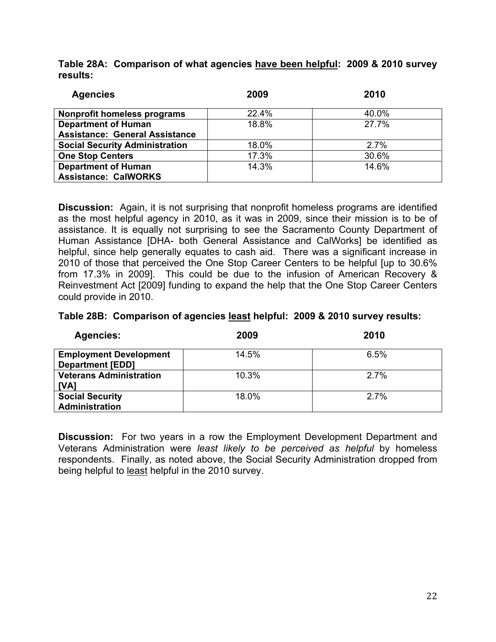**Table 28A: Comparison of what agencies have been helpful: 2009 & 2010 survey results:** 

| <b>Agencies</b>                       | 2009  | 2010  |
|---------------------------------------|-------|-------|
| Nonprofit homeless programs           | 22.4% | 40.0% |
| <b>Department of Human</b>            | 18.8% | 27.7% |
| <b>Assistance: General Assistance</b> |       |       |
| <b>Social Security Administration</b> | 18.0% | 2.7%  |
| <b>One Stop Centers</b>               | 17.3% | 30.6% |
| <b>Department of Human</b>            | 14.3% | 14.6% |
| <b>Assistance: CalWORKS</b>           |       |       |

**Discussion:** Again, it is not surprising that nonprofit homeless programs are identified as the most helpful agency in 2010, as it was in 2009, since their mission is to be of assistance. It is equally not surprising to see the Sacramento County Department of Human Assistance [DHA- both General Assistance and CalWorks] be identified as helpful, since help generally equates to cash aid. There was a significant increase in 2010 of those that perceived the One Stop Career Centers to be helpful [up to 30.6% from 17.3% in 2009]. This could be due to the infusion of American Recovery & Reinvestment Act [2009] funding to expand the help that the One Stop Career Centers could provide in 2010.

| Table 28B: Comparison of agencies least helpful: 2009 & 2010 survey results: |
|------------------------------------------------------------------------------|
|------------------------------------------------------------------------------|

| <b>Agencies:</b>                                         | 2009  | 2010    |
|----------------------------------------------------------|-------|---------|
| <b>Employment Development</b><br><b>Department [EDD]</b> | 14.5% | 6.5%    |
| <b>Veterans Administration</b><br>[VA]                   | 10.3% | 2.7%    |
| <b>Social Security</b><br><b>Administration</b>          | 18.0% | $2.7\%$ |

**Discussion:** For two years in a row the Employment Development Department and Veterans Administration were *least likely to be perceived as helpful* by homeless respondents. Finally, as noted above, the Social Security Administration dropped from being helpful to least helpful in the 2010 survey.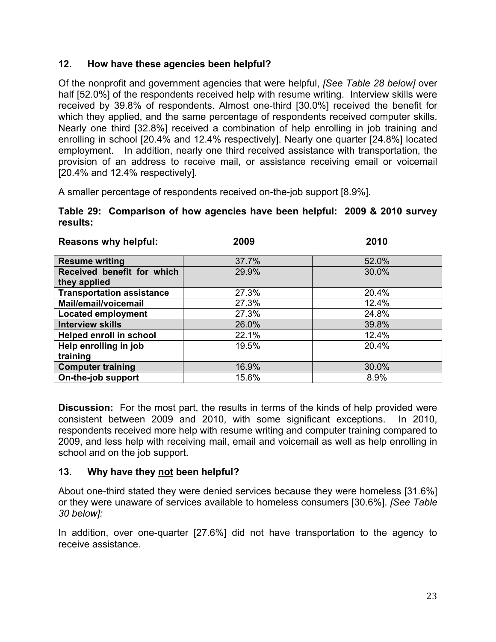# **12. How have these agencies been helpful?**

Of the nonprofit and government agencies that were helpful, *[See Table 28 below]* over half [52.0%] of the respondents received help with resume writing. Interview skills were received by 39.8% of respondents. Almost one-third [30.0%] received the benefit for which they applied, and the same percentage of respondents received computer skills. Nearly one third [32.8%] received a combination of help enrolling in job training and enrolling in school [20.4% and 12.4% respectively]. Nearly one quarter [24.8%] located employment. In addition, nearly one third received assistance with transportation, the provision of an address to receive mail, or assistance receiving email or voicemail [20.4% and 12.4% respectively].

A smaller percentage of respondents received on-the-job support [8.9%].

### **Table 29: Comparison of how agencies have been helpful: 2009 & 2010 survey results:**

| <b>Reasons why helpful:</b>      | 2009  | 2010  |
|----------------------------------|-------|-------|
|                                  |       |       |
| <b>Resume writing</b>            | 37.7% | 52.0% |
| Received benefit for which       | 29.9% | 30.0% |
| they applied                     |       |       |
| <b>Transportation assistance</b> | 27.3% | 20.4% |
| Mail/email/voicemail             | 27.3% | 12.4% |
| <b>Located employment</b>        | 27.3% | 24.8% |
| <b>Interview skills</b>          | 26.0% | 39.8% |
| <b>Helped enroll in school</b>   | 22.1% | 12.4% |
| Help enrolling in job            | 19.5% | 20.4% |
| training                         |       |       |
| <b>Computer training</b>         | 16.9% | 30.0% |
| On-the-job support               | 15.6% | 8.9%  |

**Discussion:** For the most part, the results in terms of the kinds of help provided were consistent between 2009 and 2010, with some significant exceptions. In 2010, respondents received more help with resume writing and computer training compared to 2009, and less help with receiving mail, email and voicemail as well as help enrolling in school and on the job support.

# **13. Why have they not been helpful?**

About one-third stated they were denied services because they were homeless [31.6%] or they were unaware of services available to homeless consumers [30.6%]. *[See Table 30 below]:*

In addition, over one-quarter [27.6%] did not have transportation to the agency to receive assistance.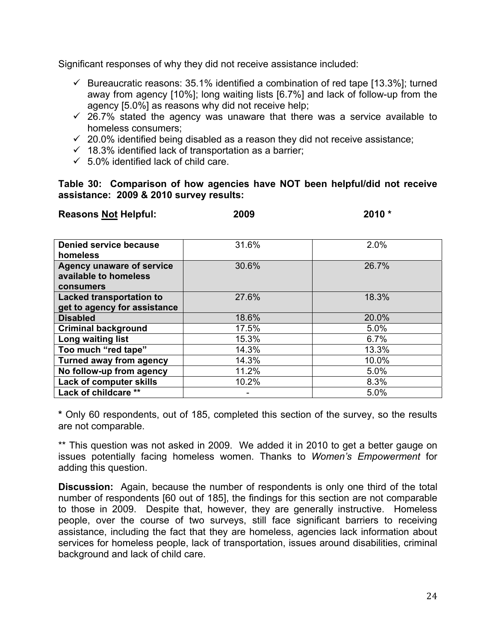Significant responses of why they did not receive assistance included:

- $\checkmark$  Bureaucratic reasons: 35.1% identified a combination of red tape [13.3%]; turned away from agency [10%]; long waiting lists [6.7%] and lack of follow-up from the agency [5.0%] as reasons why did not receive help;
- $\checkmark$  26.7% stated the agency was unaware that there was a service available to homeless consumers;
- $\sim$  20.0% identified being disabled as a reason they did not receive assistance;
- $\checkmark$  18.3% identified lack of transportation as a barrier;
- $65.0\%$  identified lack of child care.

**Table 30: Comparison of how agencies have NOT been helpful/did not receive assistance: 2009 & 2010 survey results:** 

| <b>Reasons Not Helpful:</b>                                            | 2009  | 2010 * |  |
|------------------------------------------------------------------------|-------|--------|--|
|                                                                        |       |        |  |
| Denied service because<br>homeless                                     | 31.6% | 2.0%   |  |
| <b>Agency unaware of service</b><br>available to homeless<br>consumers | 30.6% | 26.7%  |  |
| <b>Lacked transportation to</b><br>get to agency for assistance        | 27.6% | 18.3%  |  |
| <b>Disabled</b>                                                        | 18.6% | 20.0%  |  |
| <b>Criminal background</b>                                             | 17.5% | 5.0%   |  |
| Long waiting list                                                      | 15.3% | 6.7%   |  |
| Too much "red tape"                                                    | 14.3% | 13.3%  |  |
| <b>Turned away from agency</b>                                         | 14.3% | 10.0%  |  |
| No follow-up from agency                                               | 11.2% | 5.0%   |  |
| Lack of computer skills                                                | 10.2% | 8.3%   |  |
| Lack of childcare **                                                   |       | 5.0%   |  |

**\*** Only 60 respondents, out of 185, completed this section of the survey, so the results are not comparable.

\*\* This question was not asked in 2009. We added it in 2010 to get a better gauge on issues potentially facing homeless women. Thanks to *Women's Empowerment* for adding this question.

**Discussion:** Again, because the number of respondents is only one third of the total number of respondents [60 out of 185], the findings for this section are not comparable to those in 2009. Despite that, however, they are generally instructive. Homeless people, over the course of two surveys, still face significant barriers to receiving assistance, including the fact that they are homeless, agencies lack information about services for homeless people, lack of transportation, issues around disabilities, criminal background and lack of child care.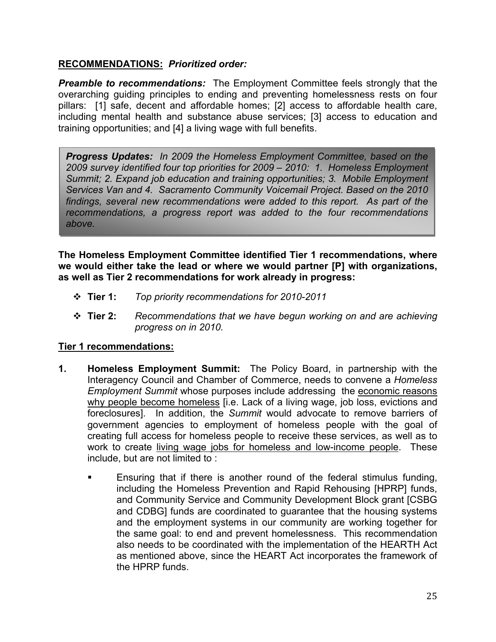### **RECOMMENDATIONS:** *Prioritized order:*

*Preamble to recommendations:* The Employment Committee feels strongly that the overarching guiding principles to ending and preventing homelessness rests on four pillars: [1] safe, decent and affordable homes; [2] access to affordable health care, including mental health and substance abuse services; [3] access to education and training opportunities; and [4] a living wage with full benefits.

*Progress Updates: In 2009 the Homeless Employment Committee, based on the 2009 survey identified four top priorities for 2009 – 2010: 1. Homeless Employment Summit; 2. Expand job education and training opportunities; 3. Mobile Employment Services Van and 4. Sacramento Community Voicemail Project. Based on the 2010 findings, several new recommendations were added to this report. As part of the recommendations, a progress report was added to the four recommendations above.* 

**The Homeless Employment Committee identified Tier 1 recommendations, where we would either take the lead or where we would partner [P] with organizations, as well as Tier 2 recommendations for work already in progress:** 

- **Tier 1:** *Top priority recommendations for 2010-2011*
- **Tier 2:** *Recommendations that we have begun working on and are achieving progress on in 2010.*

### **Tier 1 recommendations:**

- **1. Homeless Employment Summit:** The Policy Board, in partnership with the Interagency Council and Chamber of Commerce, needs to convene a *Homeless Employment Summit* whose purposes include addressing the economic reasons why people become homeless [i.e. Lack of a living wage, job loss, evictions and foreclosures]. In addition, the *Summit* would advocate to remove barriers of government agencies to employment of homeless people with the goal of creating full access for homeless people to receive these services, as well as to work to create living wage jobs for homeless and low-income people. These include, but are not limited to :
	- Ensuring that if there is another round of the federal stimulus funding, including the Homeless Prevention and Rapid Rehousing [HPRP] funds, and Community Service and Community Development Block grant [CSBG and CDBG] funds are coordinated to guarantee that the housing systems and the employment systems in our community are working together for the same goal: to end and prevent homelessness. This recommendation also needs to be coordinated with the implementation of the HEARTH Act as mentioned above, since the HEART Act incorporates the framework of the HPRP funds.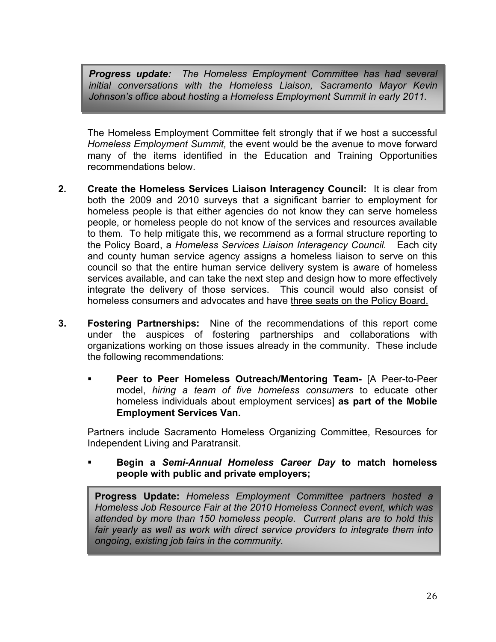*Progress update: The Homeless Employment Committee has had several initial conversations with the Homeless Liaison, Sacramento Mayor Kevin Johnson's office about hosting a Homeless Employment Summit in early 2011.* 

The Homeless Employment Committee felt strongly that if we host a successful *Homeless Employment Summit,* the event would be the avenue to move forward many of the items identified in the Education and Training Opportunities recommendations below.

- **2. Create the Homeless Services Liaison Interagency Council:** It is clear from both the 2009 and 2010 surveys that a significant barrier to employment for homeless people is that either agencies do not know they can serve homeless people, or homeless people do not know of the services and resources available to them. To help mitigate this, we recommend as a formal structure reporting to the Policy Board, a *Homeless Services Liaison Interagency Council.* Each city and county human service agency assigns a homeless liaison to serve on this council so that the entire human service delivery system is aware of homeless services available, and can take the next step and design how to more effectively integrate the delivery of those services. This council would also consist of homeless consumers and advocates and have three seats on the Policy Board.
- **3. Fostering Partnerships:** Nine of the recommendations of this report come under the auspices of fostering partnerships and collaborations with organizations working on those issues already in the community. These include the following recommendations:
	- **Peer to Peer Homeless Outreach/Mentoring Team-** [A Peer-to-Peer model, *hiring a team of five homeless consumers* to educate other homeless individuals about employment services] **as part of the Mobile Employment Services Van.**

Partners include Sacramento Homeless Organizing Committee, Resources for Independent Living and Paratransit.

 **Begin a** *Semi-Annual Homeless Career Day* **to match homeless people with public and private employers;** 

**Progress Update:** *Homeless Employment Committee partners hosted a Homeless Job Resource Fair at the 2010 Homeless Connect event, which was attended by more than 150 homeless people. Current plans are to hold this fair yearly as well as work with direct service providers to integrate them into ongoing, existing job fairs in the community.*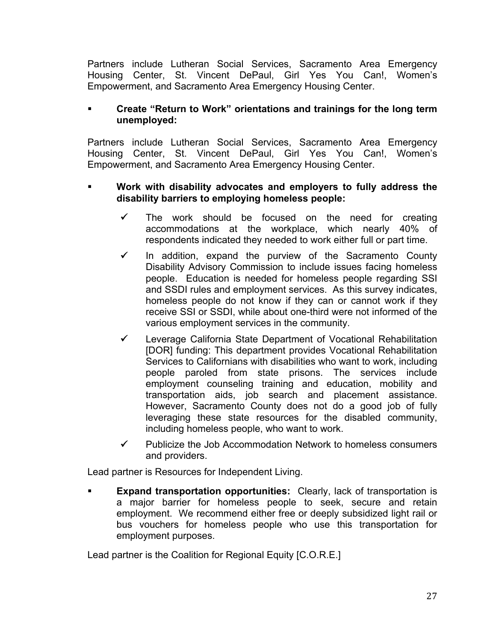Partners include Lutheran Social Services, Sacramento Area Emergency Housing Center, St. Vincent DePaul, Girl Yes You Can!, Women's Empowerment, and Sacramento Area Emergency Housing Center.

# **Create "Return to Work" orientations and trainings for the long term unemployed:**

Partners include Lutheran Social Services, Sacramento Area Emergency Housing Center, St. Vincent DePaul, Girl Yes You Can!, Women's Empowerment, and Sacramento Area Emergency Housing Center.

### **Work with disability advocates and employers to fully address the disability barriers to employing homeless people:**

- The work should be focused on the need for creating accommodations at the workplace, which nearly 40% of respondents indicated they needed to work either full or part time.
- $\checkmark$  In addition, expand the purview of the Sacramento County Disability Advisory Commission to include issues facing homeless people. Education is needed for homeless people regarding SSI and SSDI rules and employment services. As this survey indicates, homeless people do not know if they can or cannot work if they receive SSI or SSDI, while about one-third were not informed of the various employment services in the community.
- $\checkmark$  Leverage California State Department of Vocational Rehabilitation [DOR] funding: This department provides Vocational Rehabilitation Services to Californians with disabilities who want to work, including people paroled from state prisons. The services include employment counseling training and education, mobility and transportation aids, job search and placement assistance. However, Sacramento County does not do a good job of fully leveraging these state resources for the disabled community, including homeless people, who want to work.
- $\checkmark$  Publicize the Job Accommodation Network to homeless consumers and providers.

Lead partner is Resources for Independent Living.

 **Expand transportation opportunities:** Clearly, lack of transportation is a major barrier for homeless people to seek, secure and retain employment. We recommend either free or deeply subsidized light rail or bus vouchers for homeless people who use this transportation for employment purposes.

Lead partner is the Coalition for Regional Equity [C.O.R.E.]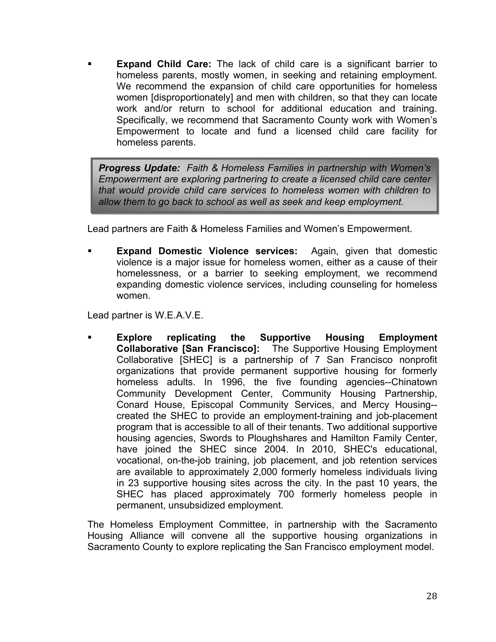**Expand Child Care:** The lack of child care is a significant barrier to homeless parents, mostly women, in seeking and retaining employment. We recommend the expansion of child care opportunities for homeless women [disproportionately] and men with children, so that they can locate work and/or return to school for additional education and training. Specifically, we recommend that Sacramento County work with Women's Empowerment to locate and fund a licensed child care facility for homeless parents.

*Progress Update: Faith & Homeless Families in partnership with Women's Empowerment are exploring partnering to create a licensed child care center that would provide child care services to homeless women with children to allow them to go back to school as well as seek and keep employment.* 

Lead partners are Faith & Homeless Families and Women's Empowerment.

 **Expand Domestic Violence services:** Again, given that domestic violence is a major issue for homeless women, either as a cause of their homelessness, or a barrier to seeking employment, we recommend expanding domestic violence services, including counseling for homeless women.

Lead partner is W.E.A.V.E.

 **Explore replicating the Supportive Housing Employment Collaborative [San Francisco]:** The Supportive Housing Employment Collaborative [SHEC] is a partnership of 7 San Francisco nonprofit organizations that provide permanent supportive housing for formerly homeless adults. In 1996, the five founding agencies--Chinatown Community Development Center, Community Housing Partnership, Conard House, Episcopal Community Services, and Mercy Housing- created the SHEC to provide an employment-training and job-placement program that is accessible to all of their tenants. Two additional supportive housing agencies, Swords to Ploughshares and Hamilton Family Center, have joined the SHEC since 2004. In 2010, SHEC's educational, vocational, on-the-job training, job placement, and job retention services are available to approximately 2,000 formerly homeless individuals living in 23 supportive housing sites across the city. In the past 10 years, the SHEC has placed approximately 700 formerly homeless people in permanent, unsubsidized employment.

The Homeless Employment Committee, in partnership with the Sacramento Housing Alliance will convene all the supportive housing organizations in Sacramento County to explore replicating the San Francisco employment model.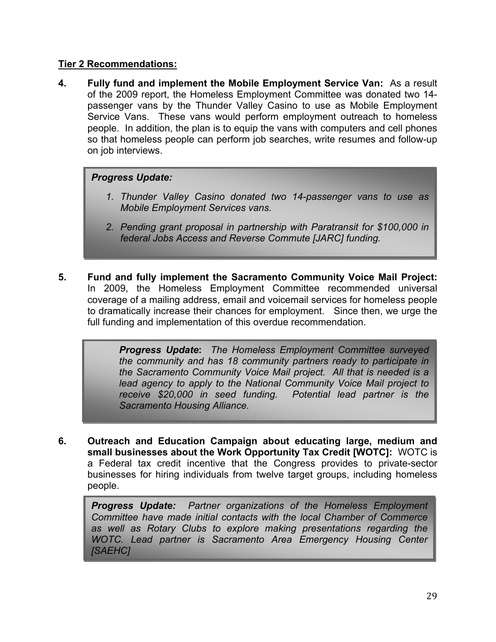### **Tier 2 Recommendations:**

**4. Fully fund and implement the Mobile Employment Service Van:** As a result of the 2009 report, the Homeless Employment Committee was donated two 14 passenger vans by the Thunder Valley Casino to use as Mobile Employment Service Vans. These vans would perform employment outreach to homeless people. In addition, the plan is to equip the vans with computers and cell phones so that homeless people can perform job searches, write resumes and follow-up on job interviews.

# *Progress Update:*

- *1. Thunder Valley Casino donated two 14-passenger vans to use as Mobile Employment Services vans.*
- *2. Pending grant proposal in partnership with Paratransit for \$100,000 in federal Jobs Access and Reverse Commute [JARC] funding.*
- **5. Fund and fully implement the Sacramento Community Voice Mail Project:** In 2009, the Homeless Employment Committee recommended universal coverage of a mailing address, email and voicemail services for homeless people to dramatically increase their chances for employment. Since then, we urge the full funding and implementation of this overdue recommendation.

*Progress Update***:** *The Homeless Employment Committee surveyed the community and has 18 community partners ready to participate in the Sacramento Community Voice Mail project. All that is needed is a*  lead agency to apply to the National Community Voice Mail project to *receive \$20,000 in seed funding. Potential lead partner is the Sacramento Housing Alliance.* 

**6. Outreach and Education Campaign about educating large, medium and small businesses about the Work Opportunity Tax Credit [WOTC]:** WOTC is a Federal tax credit incentive that the Congress provides to private-sector businesses for hiring individuals from twelve target groups, including homeless people.

*Progress Update: Partner organizations of the Homeless Employment Committee have made initial contacts with the local Chamber of Commerce as well as Rotary Clubs to explore making presentations regarding the WOTC. Lead partner is Sacramento Area Emergency Housing Center [SAEHC]*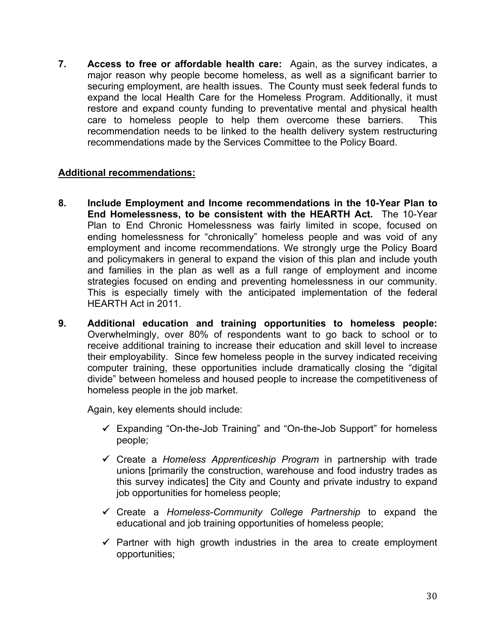**7. Access to free or affordable health care:** Again, as the survey indicates, a major reason why people become homeless, as well as a significant barrier to securing employment, are health issues. The County must seek federal funds to expand the local Health Care for the Homeless Program. Additionally, it must restore and expand county funding to preventative mental and physical health care to homeless people to help them overcome these barriers. This recommendation needs to be linked to the health delivery system restructuring recommendations made by the Services Committee to the Policy Board.

### **Additional recommendations:**

- **8. Include Employment and Income recommendations in the 10-Year Plan to End Homelessness, to be consistent with the HEARTH Act.** The 10-Year Plan to End Chronic Homelessness was fairly limited in scope, focused on ending homelessness for "chronically" homeless people and was void of any employment and income recommendations. We strongly urge the Policy Board and policymakers in general to expand the vision of this plan and include youth and families in the plan as well as a full range of employment and income strategies focused on ending and preventing homelessness in our community. This is especially timely with the anticipated implementation of the federal HEARTH Act in 2011.
- **9. Additional education and training opportunities to homeless people:** Overwhelmingly, over 80% of respondents want to go back to school or to receive additional training to increase their education and skill level to increase their employability. Since few homeless people in the survey indicated receiving computer training, these opportunities include dramatically closing the "digital divide" between homeless and housed people to increase the competitiveness of homeless people in the job market.

Again, key elements should include:

- $\checkmark$  Expanding "On-the-Job Training" and "On-the-Job Support" for homeless people;
- 9 Create a *Homeless Apprenticeship Program* in partnership with trade unions [primarily the construction, warehouse and food industry trades as this survey indicates] the City and County and private industry to expand job opportunities for homeless people;
- 9 Create a *Homeless-Community College Partnership* to expand the educational and job training opportunities of homeless people;
- $\checkmark$  Partner with high growth industries in the area to create employment opportunities;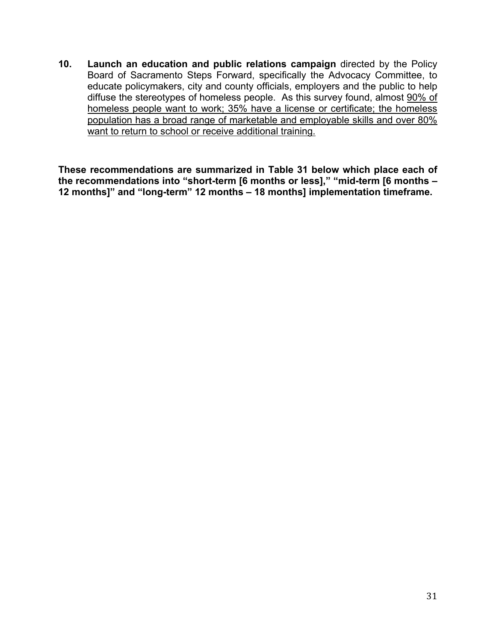**10. Launch an education and public relations campaign** directed by the Policy Board of Sacramento Steps Forward, specifically the Advocacy Committee, to educate policymakers, city and county officials, employers and the public to help diffuse the stereotypes of homeless people. As this survey found, almost 90% of homeless people want to work; 35% have a license or certificate; the homeless population has a broad range of marketable and employable skills and over 80% want to return to school or receive additional training.

**These recommendations are summarized in Table 31 below which place each of the recommendations into "short-term [6 months or less]," "mid-term [6 months – 12 months]" and "long-term" 12 months – 18 months] implementation timeframe.**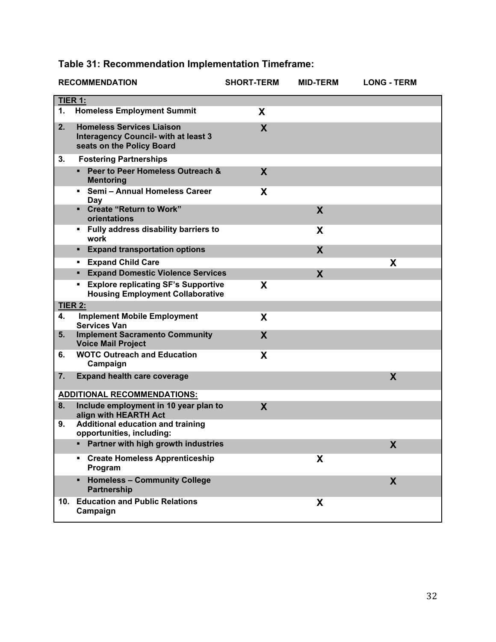|  | Table 31: Recommendation Implementation Timeframe: |
|--|----------------------------------------------------|
|--|----------------------------------------------------|

|                                    | <b>RECOMMENDATION</b>                                                                                        | <b>SHORT-TERM</b> | <b>MID-TERM</b>  | <b>LONG - TERM</b> |  |
|------------------------------------|--------------------------------------------------------------------------------------------------------------|-------------------|------------------|--------------------|--|
| TIER 1:                            |                                                                                                              |                   |                  |                    |  |
| 1.                                 | <b>Homeless Employment Summit</b>                                                                            | X                 |                  |                    |  |
| 2.                                 | <b>Homeless Services Liaison</b><br><b>Interagency Council- with at least 3</b><br>seats on the Policy Board | X                 |                  |                    |  |
| 3.                                 | <b>Fostering Partnerships</b>                                                                                |                   |                  |                    |  |
|                                    | Peer to Peer Homeless Outreach &<br>$\blacksquare$<br><b>Mentoring</b>                                       | X                 |                  |                    |  |
|                                    | Semi - Annual Homeless Career<br>۰.<br>Day                                                                   | X                 |                  |                    |  |
|                                    | • Create "Return to Work"<br>orientations                                                                    |                   | X                |                    |  |
|                                    | • Fully address disability barriers to<br>work                                                               |                   | X                |                    |  |
|                                    | <b>Expand transportation options</b>                                                                         |                   | $\boldsymbol{X}$ |                    |  |
|                                    | <b>Expand Child Care</b><br>٠                                                                                |                   |                  | X                  |  |
|                                    | <b>Expand Domestic Violence Services</b>                                                                     |                   | X                |                    |  |
|                                    | <b>Explore replicating SF's Supportive</b><br><b>Housing Employment Collaborative</b>                        | X                 |                  |                    |  |
| <b>TIER 2:</b>                     |                                                                                                              |                   |                  |                    |  |
| 4.                                 | <b>Implement Mobile Employment</b><br><b>Services Van</b>                                                    | X                 |                  |                    |  |
| 5.                                 | <b>Implement Sacramento Community</b><br><b>Voice Mail Project</b>                                           | X                 |                  |                    |  |
| 6.                                 | <b>WOTC Outreach and Education</b><br>Campaign                                                               | X                 |                  |                    |  |
| 7.                                 | <b>Expand health care coverage</b>                                                                           |                   |                  | X                  |  |
| <b>ADDITIONAL RECOMMENDATIONS:</b> |                                                                                                              |                   |                  |                    |  |
| 8.                                 | Include employment in 10 year plan to<br>align with HEARTH Act                                               | X                 |                  |                    |  |
| 9.                                 | <b>Additional education and training</b><br>opportunities, including:                                        |                   |                  |                    |  |
|                                    | Partner with high growth industries<br>٠                                                                     |                   |                  | X                  |  |
|                                    | <b>Create Homeless Apprenticeship</b><br>٠<br>Program                                                        |                   | X                |                    |  |
|                                    | <b>Homeless - Community College</b><br><b>Partnership</b>                                                    |                   |                  | X                  |  |
| 10.                                | <b>Education and Public Relations</b><br>Campaign                                                            |                   | X                |                    |  |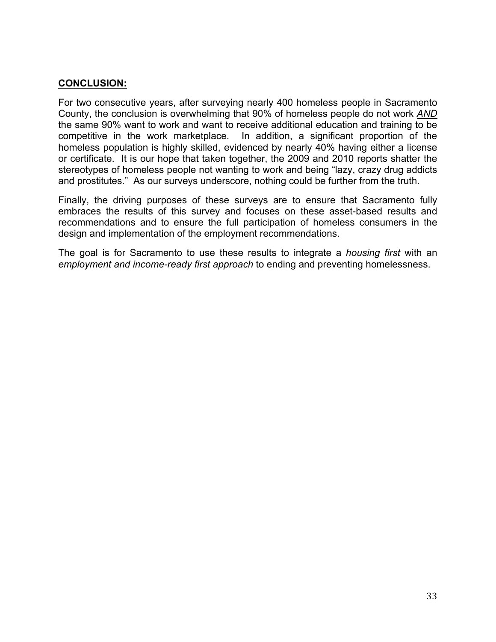### **CONCLUSION:**

For two consecutive years, after surveying nearly 400 homeless people in Sacramento County, the conclusion is overwhelming that 90% of homeless people do not work *AND* the same 90% want to work and want to receive additional education and training to be competitive in the work marketplace. In addition, a significant proportion of the homeless population is highly skilled, evidenced by nearly 40% having either a license or certificate. It is our hope that taken together, the 2009 and 2010 reports shatter the stereotypes of homeless people not wanting to work and being "lazy, crazy drug addicts and prostitutes." As our surveys underscore, nothing could be further from the truth.

Finally, the driving purposes of these surveys are to ensure that Sacramento fully embraces the results of this survey and focuses on these asset-based results and recommendations and to ensure the full participation of homeless consumers in the design and implementation of the employment recommendations.

The goal is for Sacramento to use these results to integrate a *housing first* with an *employment and income-ready first approach* to ending and preventing homelessness.